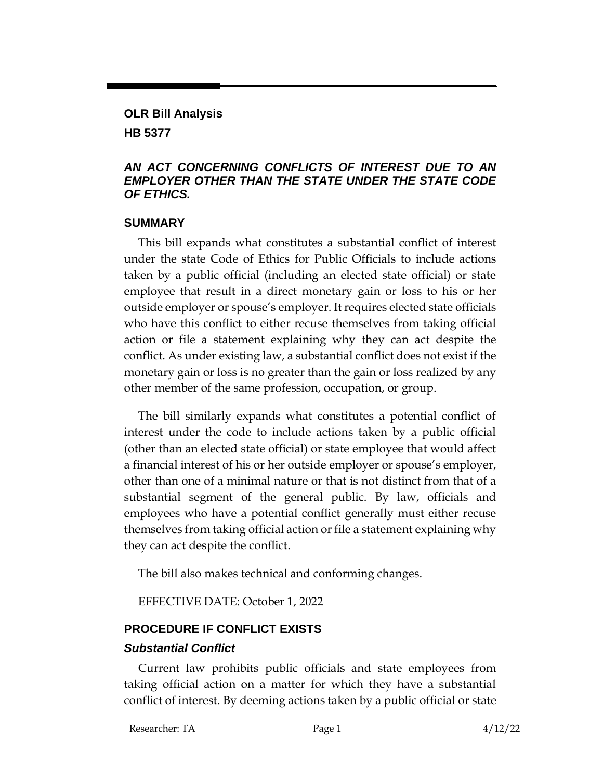## **OLR Bill Analysis HB 5377**

### *AN ACT CONCERNING CONFLICTS OF INTEREST DUE TO AN EMPLOYER OTHER THAN THE STATE UNDER THE STATE CODE OF ETHICS.*

#### **SUMMARY**

This bill expands what constitutes a substantial conflict of interest under the state Code of Ethics for Public Officials to include actions taken by a public official (including an elected state official) or state employee that result in a direct monetary gain or loss to his or her outside employer or spouse's employer. It requires elected state officials who have this conflict to either recuse themselves from taking official action or file a statement explaining why they can act despite the conflict. As under existing law, a substantial conflict does not exist if the monetary gain or loss is no greater than the gain or loss realized by any other member of the same profession, occupation, or group.

The bill similarly expands what constitutes a potential conflict of interest under the code to include actions taken by a public official (other than an elected state official) or state employee that would affect a financial interest of his or her outside employer or spouse's employer, other than one of a minimal nature or that is not distinct from that of a substantial segment of the general public. By law, officials and employees who have a potential conflict generally must either recuse themselves from taking official action or file a statement explaining why they can act despite the conflict.

The bill also makes technical and conforming changes.

EFFECTIVE DATE: October 1, 2022

# **PROCEDURE IF CONFLICT EXISTS**

### *Substantial Conflict*

Current law prohibits public officials and state employees from taking official action on a matter for which they have a substantial conflict of interest. By deeming actions taken by a public official or state